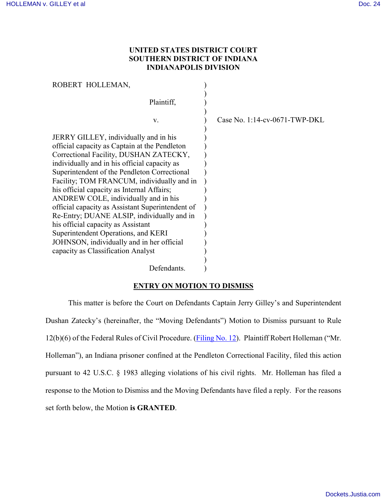# **UNITED STATES DISTRICT COURT SOUTHERN DISTRICT OF INDIANA INDIANAPOLIS DIVISION**

| ROBERT HOLLEMAN,                                                                                                                                                                                                                                                                                                                                                                                                                                                                                                                                                                                                                       |                               |
|----------------------------------------------------------------------------------------------------------------------------------------------------------------------------------------------------------------------------------------------------------------------------------------------------------------------------------------------------------------------------------------------------------------------------------------------------------------------------------------------------------------------------------------------------------------------------------------------------------------------------------------|-------------------------------|
| Plaintiff,                                                                                                                                                                                                                                                                                                                                                                                                                                                                                                                                                                                                                             |                               |
| V.                                                                                                                                                                                                                                                                                                                                                                                                                                                                                                                                                                                                                                     | Case No. 1:14-cv-0671-TWP-DKL |
| JERRY GILLEY, individually and in his<br>official capacity as Captain at the Pendleton<br>Correctional Facility, DUSHAN ZATECKY,<br>individually and in his official capacity as<br>Superintendent of the Pendleton Correctional<br>Facility; TOM FRANCUM, individually and in<br>his official capacity as Internal Affairs;<br>ANDREW COLE, individually and in his<br>official capacity as Assistant Superintendent of<br>Re-Entry; DUANE ALSIP, individually and in<br>his official capacity as Assistant<br>Superintendent Operations, and KERI<br>JOHNSON, individually and in her official<br>capacity as Classification Analyst |                               |
| Defendants.                                                                                                                                                                                                                                                                                                                                                                                                                                                                                                                                                                                                                            |                               |

# **ENTRY ON MOTION TO DISMISS**

This matter is before the Court on Defendants Captain Jerry Gilley's and Superintendent Dushan Zatecky's (hereinafter, the "Moving Defendants") Motion to Dismiss pursuant to Rule 12(b)(6) of the Federal Rules of Civil Procedure. [\(Filing No. 12\)](https://ecf.insd.uscourts.gov/doc1/07314450510). Plaintiff Robert Holleman ("Mr. Holleman"), an Indiana prisoner confined at the Pendleton Correctional Facility, filed this action pursuant to 42 U.S.C. § 1983 alleging violations of his civil rights. Mr. Holleman has filed a response to the Motion to Dismiss and the Moving Defendants have filed a reply. For the reasons set forth below, the Motion **is GRANTED**.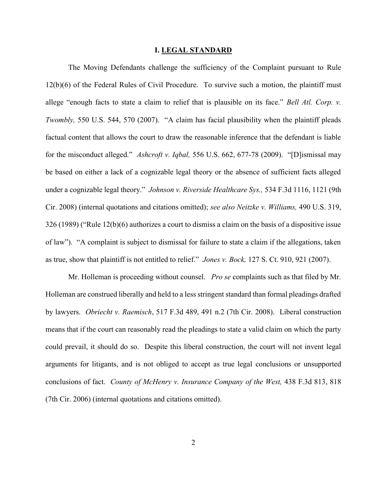## **I. LEGAL STANDARD**

The Moving Defendants challenge the sufficiency of the Complaint pursuant to Rule 12(b)(6) of the Federal Rules of Civil Procedure. To survive such a motion, the plaintiff must allege "enough facts to state a claim to relief that is plausible on its face." *Bell Atl. Corp. v. Twombly*, 550 U.S. 544, 570 (2007). "A claim has facial plausibility when the plaintiff pleads factual content that allows the court to draw the reasonable inference that the defendant is liable for the misconduct alleged." *Ashcroft v. Iqbal,* 556 U.S. 662, 677-78 (2009). "[D]ismissal may be based on either a lack of a cognizable legal theory or the absence of sufficient facts alleged under a cognizable legal theory." *Johnson v. Riverside Healthcare Sys.,* 534 F.3d 1116, 1121 (9th Cir. 2008) (internal quotations and citations omitted); *see also Neitzke v. Williams,* 490 U.S. 319, 326 (1989) ("Rule 12(b)(6) authorizes a court to dismiss a claim on the basis of a dispositive issue of law"). "A complaint is subject to dismissal for failure to state a claim if the allegations, taken as true, show that plaintiff is not entitled to relief." *Jones v. Bock,* 127 S. Ct. 910, 921 (2007).

Mr. Holleman is proceeding without counsel. *Pro se* complaints such as that filed by Mr. Holleman are construed liberally and held to a less stringent standard than formal pleadings drafted by lawyers. *Obriecht v. Raemisch*, 517 F.3d 489, 491 n.2 (7th Cir. 2008). Liberal construction means that if the court can reasonably read the pleadings to state a valid claim on which the party could prevail, it should do so. Despite this liberal construction, the court will not invent legal arguments for litigants, and is not obliged to accept as true legal conclusions or unsupported conclusions of fact. *County of McHenry v. Insurance Company of the West,* 438 F.3d 813, 818 (7th Cir. 2006) (internal quotations and citations omitted).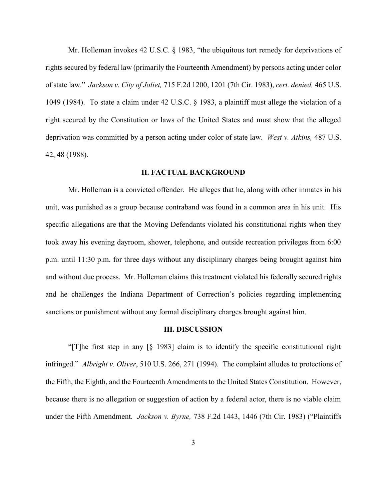Mr. Holleman invokes 42 U.S.C. § 1983, "the ubiquitous tort remedy for deprivations of rights secured by federal law (primarily the Fourteenth Amendment) by persons acting under color of state law." *Jackson v. City of Joliet,* 715 F.2d 1200, 1201 (7th Cir. 1983), *cert. denied,* 465 U.S. 1049 (1984). To state a claim under 42 U.S.C. § 1983, a plaintiff must allege the violation of a right secured by the Constitution or laws of the United States and must show that the alleged deprivation was committed by a person acting under color of state law. *West v. Atkins,* 487 U.S. 42, 48 (1988).

## **II. FACTUAL BACKGROUND**

Mr. Holleman is a convicted offender. He alleges that he, along with other inmates in his unit, was punished as a group because contraband was found in a common area in his unit. His specific allegations are that the Moving Defendants violated his constitutional rights when they took away his evening dayroom, shower, telephone, and outside recreation privileges from 6:00 p.m. until 11:30 p.m. for three days without any disciplinary charges being brought against him and without due process. Mr. Holleman claims this treatment violated his federally secured rights and he challenges the Indiana Department of Correction's policies regarding implementing sanctions or punishment without any formal disciplinary charges brought against him.

#### **III. DISCUSSION**

"[T]he first step in any [§ 1983] claim is to identify the specific constitutional right infringed." *Albright v. Oliver*, 510 U.S. 266, 271 (1994). The complaint alludes to protections of the Fifth, the Eighth, and the Fourteenth Amendments to the United States Constitution. However, because there is no allegation or suggestion of action by a federal actor, there is no viable claim under the Fifth Amendment. *Jackson v. Byrne,* 738 F.2d 1443, 1446 (7th Cir. 1983) ("Plaintiffs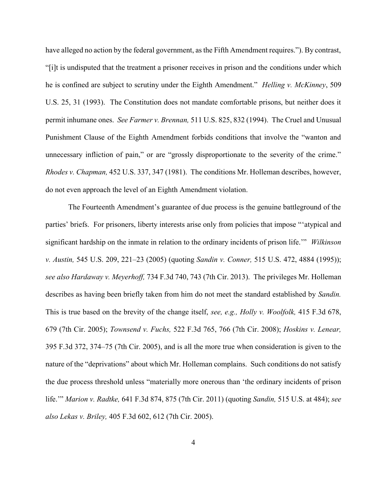have alleged no action by the federal government, as the Fifth Amendment requires."). By contrast, "[i]t is undisputed that the treatment a prisoner receives in prison and the conditions under which he is confined are subject to scrutiny under the Eighth Amendment." *Helling v. McKinney*, 509 U.S. 25, 31 (1993). The Constitution does not mandate comfortable prisons, but neither does it permit inhumane ones. *See Farmer v. Brennan,* 511 U.S. 825, 832 (1994). The Cruel and Unusual Punishment Clause of the Eighth Amendment forbids conditions that involve the "wanton and unnecessary infliction of pain," or are "grossly disproportionate to the severity of the crime." *Rhodes v. Chapman,* 452 U.S. 337, 347 (1981). The conditions Mr. Holleman describes, however, do not even approach the level of an Eighth Amendment violation.

The Fourteenth Amendment's guarantee of due process is the genuine battleground of the parties' briefs. For prisoners, liberty interests arise only from policies that impose "'atypical and significant hardship on the inmate in relation to the ordinary incidents of prison life.'" *Wilkinson v. Austin,* 545 U.S. 209, 221–23 (2005) (quoting *Sandin v. Conner,* 515 U.S. 472, 4884 (1995)); *see also Hardaway v. Meyerhoff,* 734 F.3d 740, 743 (7th Cir. 2013). The privileges Mr. Holleman describes as having been briefly taken from him do not meet the standard established by *Sandin.* This is true based on the brevity of the change itself, *see, e.g., Holly v. Woolfolk,* 415 F.3d 678, 679 (7th Cir. 2005); *Townsend v. Fuchs,* 522 F.3d 765, 766 (7th Cir. 2008); *Hoskins v. Lenear,* 395 F.3d 372, 374–75 (7th Cir. 2005), and is all the more true when consideration is given to the nature of the "deprivations" about which Mr. Holleman complains. Such conditions do not satisfy the due process threshold unless "materially more onerous than 'the ordinary incidents of prison life.'" *Marion v. Radtke,* 641 F.3d 874, 875 (7th Cir. 2011) (quoting *Sandin,* 515 U.S. at 484); *see also Lekas v. Briley,* 405 F.3d 602, 612 (7th Cir. 2005).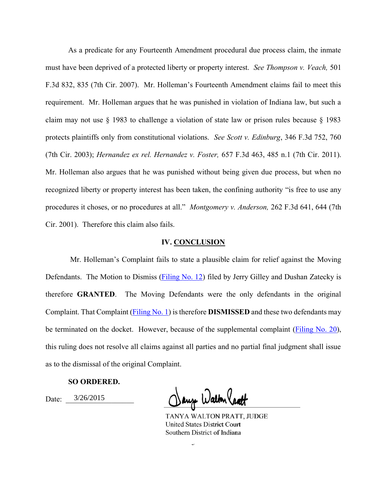As a predicate for any Fourteenth Amendment procedural due process claim, the inmate must have been deprived of a protected liberty or property interest. *See Thompson v. Veach,* 501 F.3d 832, 835 (7th Cir. 2007). Mr. Holleman's Fourteenth Amendment claims fail to meet this requirement. Mr. Holleman argues that he was punished in violation of Indiana law, but such a claim may not use § 1983 to challenge a violation of state law or prison rules because § 1983 protects plaintiffs only from constitutional violations. *See Scott v. Edinburg*, 346 F.3d 752, 760 (7th Cir. 2003); *Hernandez ex rel. Hernandez v. Foster,* 657 F.3d 463, 485 n.1 (7th Cir. 2011). Mr. Holleman also argues that he was punished without being given due process, but when no recognized liberty or property interest has been taken, the confining authority "is free to use any procedures it choses, or no procedures at all." *Montgomery v. Anderson,* 262 F.3d 641, 644 (7th Cir. 2001). Therefore this claim also fails.

### **IV. CONCLUSION**

Mr. Holleman's Complaint fails to state a plausible claim for relief against the Moving Defendants. The Motion to Dismiss [\(Filing No. 12\)](https://ecf.insd.uscourts.gov/doc1/07314450510) filed by Jerry Gilley and Dushan Zatecky is therefore **GRANTED**. The Moving Defendants were the only defendants in the original Complaint. That Complaint [\(Filing No. 1\)](https://ecf.insd.uscourts.gov/doc1/07314331575) is therefore **DISMISSED** and these two defendants may be terminated on the docket. However, because of the supplemental complaint [\(Filing No. 20\)](https://ecf.insd.uscourts.gov/doc1/07314517041), this ruling does not resolve all claims against all parties and no partial final judgment shall issue as to the dismissal of the original Complaint.

### **SO ORDERED.**

Date: 3/26/2015

Dauge Walton Cratt

TANYA WALTON PRATT, JUDGE **United States District Court** Southern District of Indiana

 $\overline{a}$